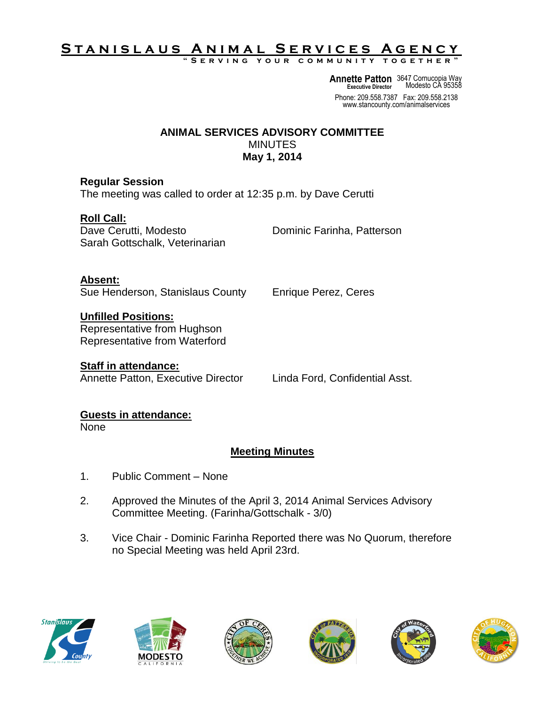# <u>STANISLAUS ANIMAL SERVICES AGENCY</u>

**" S e r v i n g y o u r c o m m u n i t y t o g e t h e r "**

**Annette Patton** 3647 Cornucopia Way **Executive Director** Modesto CA 95358

Phone: 209.558.7387 Fax: 209.558.2138 www.stancounty.com/animalservices

#### **ANIMAL SERVICES ADVISORY COMMITTEE MINUTES May 1, 2014**

#### **Regular Session**

The meeting was called to order at 12:35 p.m. by Dave Cerutti

### **Roll Call:**

Dave Cerutti, Modesto **Dominic Farinha, Patterson** Sarah Gottschalk, Veterinarian

**Absent:**

Sue Henderson, Stanislaus County Enrique Perez, Ceres

# **Unfilled Positions:**

Representative from Hughson Representative from Waterford

## **Staff in attendance:**

Annette Patton, Executive Director Linda Ford, Confidential Asst.

### **Guests in attendance:**

None

## **Meeting Minutes**

- 1. Public Comment None
- 2. Approved the Minutes of the April 3, 2014 Animal Services Advisory Committee Meeting. (Farinha/Gottschalk - 3/0)
- 3. Vice Chair Dominic Farinha Reported there was No Quorum, therefore no Special Meeting was held April 23rd.